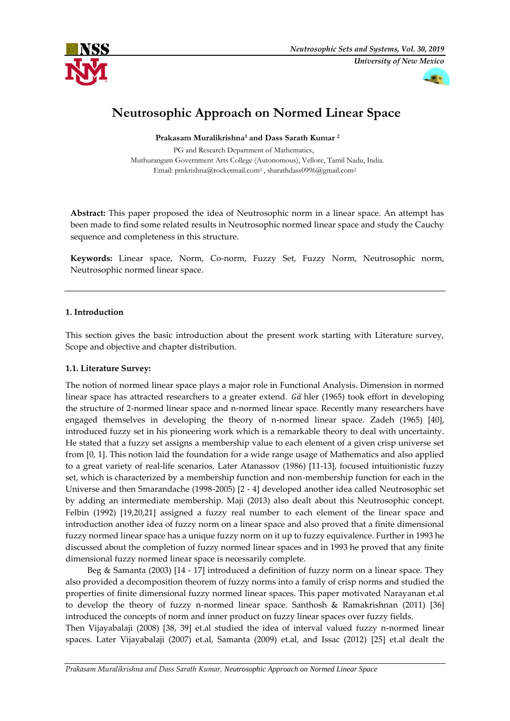





# **Neutrosophic Approach on Normed Linear Space**

**Prakasam Muralikrishna<sup>1</sup> and Dass Sarath Kumar <sup>2</sup>**

PG and Research Department of Mathematics, Muthurangam Government Arts College (Autonomous), Vellore, Tamil Nadu, India. Email: [pmkrishna@rocketmail.com](mailto:pmkrishna@rocketmail.com1)<sup>1</sup>, [sharathdass0996@gmail.com](mailto:sharathdass0996@gmail.com)<sup>2</sup>

**Abstract:** This paper proposed the idea of Neutrosophic norm in a linear space. An attempt has been made to find some related results in Neutrosophic normed linear space and study the Cauchy sequence and completeness in this structure.

**Keywords:** Linear space, Norm, Co-norm, Fuzzy Set, Fuzzy Norm, Neutrosophic norm, Neutrosophic normed linear space.

# **1. Introduction**

This section gives the basic introduction about the present work starting with Literature survey, Scope and objective and chapter distribution.

# **1.1. Literature Survey:**

The notion of normed linear space plays a major role in Functional Analysis. Dimension in normed linear space has attracted researchers to a greater extend. Gä hler (1965) took effort in developing the structure of 2-normed linear space and n-normed linear space. Recently many researchers have engaged themselves in developing the theory of n-normed linear space. Zadeh (1965) [40], introduced fuzzy set in his pioneering work which is a remarkable theory to deal with uncertainty. He stated that a fuzzy set assigns a membership value to each element of a given crisp universe set from [0, 1]. This notion laid the foundation for a wide range usage of Mathematics and also applied to a great variety of real-life scenarios. Later Atanassov (1986) [11-13], focused intuitionistic fuzzy set, which is characterized by a membership function and non-membership function for each in the Universe and then Smarandache (1998-2005) [2 - 4] developed another idea called Neutrosophic set by adding an intermediate membership. Maji (2013) also dealt about this Neutrosophic concept. Felbin (1992) [19,20,21] assigned a fuzzy real number to each element of the linear space and introduction another idea of fuzzy norm on a linear space and also proved that a finite dimensional fuzzy normed linear space has a unique fuzzy norm on it up to fuzzy equivalence. Further in 1993 he discussed about the completion of fuzzy normed linear spaces and in 1993 he proved that any finite dimensional fuzzy normed linear space is necessarily complete.

Beg & Samanta (2003) [14 - 17] introduced a definition of fuzzy norm on a linear space. They also provided a decomposition theorem of fuzzy norms into a family of crisp norms and studied the properties of finite dimensional fuzzy normed linear spaces. This paper motivated Narayanan et.al to develop the theory of fuzzy n-normed linear space. Santhosh & Ramakrishnan (2011) [36] introduced the concepts of norm and inner product on fuzzy linear spaces over fuzzy fields.

Then Vijayabalaji (2008) [38, 39] et.al studied the idea of interval valued fuzzy n-normed linear spaces. Later Vijayabalaji (2007) et.al, Samanta (2009) et.al, and Issac (2012) [25] et.al dealt the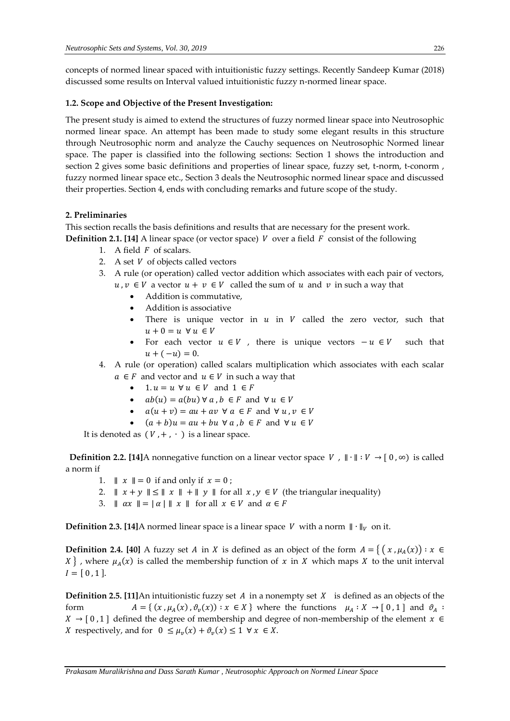concepts of normed linear spaced with intuitionistic fuzzy settings. Recently Sandeep Kumar (2018) discussed some results on Interval valued intuitionistic fuzzy n-normed linear space.

# **1.2. Scope and Objective of the Present Investigation:**

The present study is aimed to extend the structures of fuzzy normed linear space into Neutrosophic normed linear space. An attempt has been made to study some elegant results in this structure through Neutrosophic norm and analyze the Cauchy sequences on Neutrosophic Normed linear space. The paper is classified into the following sections: Section 1 shows the introduction and section 2 gives some basic definitions and properties of linear space, fuzzy set, t-norm, t-conorm , fuzzy normed linear space etc., Section 3 deals the Neutrosophic normed linear space and discussed their properties. Section 4, ends with concluding remarks and future scope of the study.

# **2. Preliminaries**

This section recalls the basis definitions and results that are necessary for the present work.

- **Definition 2.1. [14]** A linear space (or vector space)  $V$  over a field  $F$  consist of the following
	- 1. A field  $F$  of scalars.
	- 2. A set  $V$  of objects called vectors
	- 3. A rule (or operation) called vector addition which associates with each pair of vectors,  $u, v \in V$  a vector  $u + v \in V$  called the sum of  $u$  and  $v$  in such a way that
		- Addition is commutative,
		- Addition is associative
		- There is unique vector in  $u$  in  $V$  called the zero vector, such that  $u + 0 = u \; \forall u \in V$
		- For each vector  $u \in V$ , there is unique vectors  $-u \in V$  such that  $u + (-u) = 0.$
	- 4. A rule (or operation) called scalars multiplication which associates with each scalar  $a \in F$  and vector and  $u \in V$  in such a way that
		- $1. u = u \ \forall u \in V$  and  $1 \in F$
		- $ab(u) = a(bu) \forall a, b \in F$  and  $\forall u \in V$
		- $a(u + v) = au + av \ \forall \ a \in F$  and  $\forall u, v \in V$
		- $(a + b)u = au + bu \ \forall a, b \in F$  and  $\forall u \in V$

It is denoted as  $(V, +, \cdot)$  is a linear space.

**Definition 2.2. [14]A** nonnegative function on a linear vector space  $V$ ,  $\|\cdot\|$  :  $V \to [0, \infty)$  is called a norm if

- 1.  $\parallel x \parallel = 0$  if and only if  $x = 0$ ;
- 2.  $|| x + y || \le || x || + || y ||$  for all  $x, y \in V$  (the triangular inequality)
- 3.  $\|\alpha x\| = |\alpha| \|x\|$  for all  $x \in V$  and  $\alpha \in F$

**Definition 2.3. [14]**A normed linear space is a linear space *V* with a norm  $\|\cdot\|_V$  on it.

**Definition 2.4.** [40] A fuzzy set A in X is defined as an object of the form  $A = \{ (x, \mu_A(x)) : x \in$ X }, where  $\mu_A(x)$  is called the membership function of x in X which maps X to the unit interval  $I = \left[\,0\,,1\,\right].$ 

**Definition 2.5. [11]An intuitionistic fuzzy set A in a nonempty set**  $X$  **is defined as an objects of the** form  $A = \{ (x, \mu_A(x), \vartheta_v(x)) : x \in X \}$  where the functions  $\mu_A : X \to [0, 1]$  and  $\vartheta_A :$  $X \rightarrow [0,1]$  defined the degree of membership and degree of non-membership of the element  $x \in$ *X* respectively, and for  $0 \leq \mu_v(x) + \vartheta_v(x) \leq 1 \ \forall \ x \in X$ .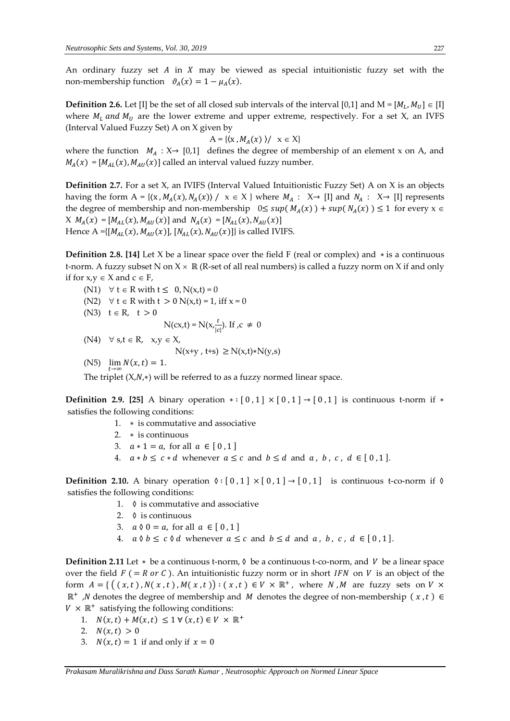An ordinary fuzzy set  $A$  in  $X$  may be viewed as special intuitionistic fuzzy set with the non-membership function  $\vartheta_A(x) = 1 - \mu_A(x)$ .

**Definition 2.6.** Let [I] be the set of all closed sub intervals of the interval [0,1] and  $M = [M_L, M_U] \in [I]$ where  $M_L$  and  $M_U$  are the lower extreme and upper extreme, respectively. For a set X, an IVFS (Interval Valued Fuzzy Set) A on X given by

$$
A = \{ (x, M_A(x)) / x \in X \}
$$

where the function  $M_A : X \rightarrow [0,1]$  defines the degree of membership of an element x on A, and  $M_A(x) = [M_{AL}(x), M_{AU}(x)]$  called an interval valued fuzzy number.

**Definition 2.7.** For a set X, an IVIFS (Interval Valued Intuitionistic Fuzzy Set) A on X is an objects having the form  $A = \{(x, M_A(x), N_A(x)) \mid x \in X \}$  where  $M_A : X \rightarrow [I]$  and  $N_A : X \rightarrow [I]$  represents the degree of membership and non-membership  $0 \leq sup(M_A(x)) + sup(N_A(x)) \leq 1$  for every  $x \in$  $X M_A(x) = [M_{AL}(x), M_{AU}(x)]$  and  $N_A(x) = [N_{AL}(x), N_{AU}(x)]$ Hence A ={ $[M_{AL}(x), M_{AU}(x)]$ ,  $[N_{AL}(x), N_{AU}(x)]$ } is called IVIFS.

**Definition 2.8. [14]** Let X be a linear space over the field F (real or complex) and ∗ is a continuous t-norm. A fuzzy subset N on  $X \times \mathbb{R}$  (R-set of all real numbers) is called a fuzzy norm on X if and only if for  $x,y \in X$  and  $c \in F$ ,

- (N1)  $\forall$  t  $\in$  R with t  $\leq$  0, N(x,t) = 0
- (N2)  $\forall$  t  $\in$  R with t  $>$  0 N(x,t) = 1, iff x = 0
- (N3)  $t \in R$ ,  $t > 0$

$$
N(cx,t) = N(x, \frac{t}{|c|}).
$$
 If  $c \neq 0$ 

 $(N4)$   $\forall$  s,  $t \in R$ ,  $x, y \in X$ ,  $N(x+y, t+s) ≥ N(x,t)*N(y,s)$ 

(N5)  $\lim_{t \to \infty} N(x, t) = 1.$ 

The triplet  $(X,N,*)$  will be referred to as a fuzzy normed linear space.

**Definition 2.9.** [25] A binary operation  $*: [0,1] \times [0,1] \rightarrow [0,1]$  is continuous t-norm if  $*$ satisfies the following conditions:

- 1. ∗ is commutative and associative
- 2. ∗ is continuous
- 3.  $a * 1 = a$ , for all  $a \in [0, 1]$
- 4.  $a * b \leq c * d$  whenever  $a \leq c$  and  $b \leq d$  and  $a, b, c, d \in [0, 1]$ .

**Definition 2.10.** A binary operation  $\delta$  :  $[0,1] \times [0,1] \rightarrow [0,1]$  is continuous t-co-norm if  $\delta$ satisfies the following conditions:

- 1.  $\Diamond$  is commutative and associative
- 2. ◊ is continuous
- 3.  $a \, \emptyset \, 0 = a$ , for all  $a \in [0,1]$
- 4.  $a \Diamond b \leq c \Diamond d$  whenever  $a \leq c$  and  $b \leq d$  and  $a, b, c, d \in [0, 1]$ .

**Definition 2.11** Let  $*$  be a continuous t-norm,  $\lozenge$  be a continuous t-co-norm, and  $V$  be a linear space over the field  $F (= R \text{ or } C)$ . An intuitionistic fuzzy norm or in short IFN on V is an object of the form  $A = \{ ((x,t), N(x,t), M(x,t)) : (x,t) \in V \times \mathbb{R}^+,$  where N, M are fuzzy sets on  $V \times$  $\mathbb{R}^+$ , *N* denotes the degree of membership and *M* denotes the degree of non-membership (*x*,*t*) ∈  $V \times \mathbb{R}^+$  satisfying the following conditions:

- 1.  $N(x,t) + M(x,t) \leq 1 \forall (x,t) \in V \times \mathbb{R}^+$
- 2.  $N(x,t) > 0$
- 3.  $N(x,t) = 1$  if and only if  $x = 0$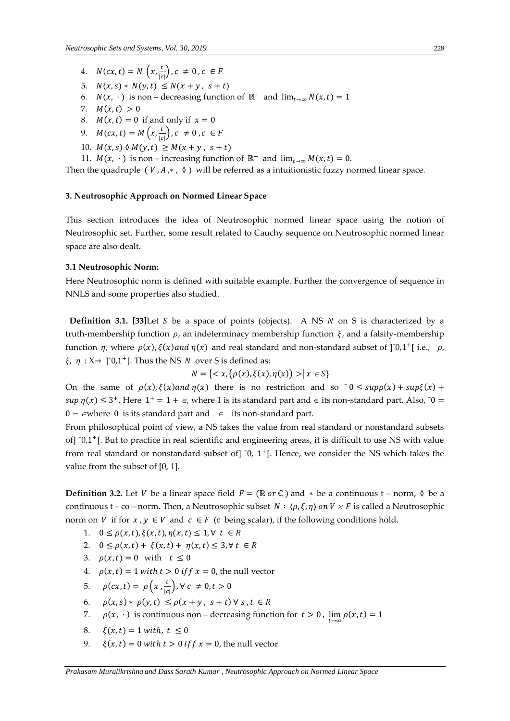- 4.  $N(cx, t) = N\left(x, \frac{t}{\log x}\right)$  $\frac{c}{|c|}$ ,  $c \neq 0$ ,  $c \in F$
- 5.  $N(x, s) * N(y, t) \le N(x + y, s + t)$
- 6.  $N(x, \cdot)$  is non decreasing function of  $\mathbb{R}^+$  and  $\lim_{t\to\infty} N(x,t) = 1$
- 7.  $M(x,t) > 0$
- 8.  $M(x,t) = 0$  if and only if  $x = 0$
- 9.  $M(cx, t) = M(x, \frac{t}{a})$  $\frac{c}{|c|}$ ,  $c \neq 0$ ,  $c \in F$
- 10.  $M(x, s) \mathcal{N}(y, t) \geq M(x + y, s + t)$
- 11.  $M(x, \cdot)$  is non increasing function of  $\mathbb{R}^+$  and  $\lim_{t\to\infty} M(x,t) = 0$ .

Then the quadruple ( $V, A, *$ ,  $\Diamond$ ) will be referred as a intuitionistic fuzzy normed linear space.

#### **3. Neutrosophic Approach on Normed Linear Space**

This section introduces the idea of Neutrosophic normed linear space using the notion of Neutrosophic set. Further, some result related to Cauchy sequence on Neutrosophic normed linear space are also dealt.

#### **3.1 Neutrosophic Norm:**

Here Neutrosophic norm is defined with suitable example. Further the convergence of sequence in NNLS and some properties also studied.

**Definition 3.1. [33]Let**  $S$  be a space of points (objects). A NS  $N$  on  $S$  is characterized by a truth-membership function  $\rho$ , an indeterminacy membership function  $\xi$ , and a falsity-membership function  $\eta$ , where  $\rho(x)$ ,  $\xi(x)$  and  $\eta(x)$  and real standard and non-standard subset of  $]$ <sup>-0</sup>,1<sup>+</sup>[i.e.,  $\rho$ ,  $\xi$ ,  $\eta$  :  $X \rightarrow$  ]<sup>-</sup>0,1<sup>+</sup>[. Thus the NS *N* over *S* is defined as:

$$
N = \{ \langle x, (\rho(x), \xi(x), \eta(x)) \rangle | x \in S \}
$$

On the same of  $\rho(x)$ ,  $\xi(x)$  and  $\eta(x)$  there is no restriction and so  $\bar{0} \leq \sup \rho(x) + \sup \xi(x) + \frac{\bar{\rho}(x)}{\bar{\rho}(x)}$  $sup \eta(x) \leq 3^+$ . Here  $1^+ = 1 + \epsilon$ , where 1 is its standard part and  $\epsilon$  its non-standard part. Also,  $0 =$ 0 −  $\epsilon$ where 0 is its standard part and  $\epsilon$  its non-standard part.

From philosophical point of view, a NS takes the value from real standard or nonstandard subsets of] ˉ0,1 <sup>+</sup>[. But to practice in real scientific and engineering areas, it is difficult to use NS with value from real standard or nonstandard subset of]  $\overline{0}$ , 1<sup>+</sup>[. Hence, we consider the NS which takes the value from the subset of [0, 1].

**Definition 3.2.** Let V be a linear space field  $F = (\mathbb{R} \text{ or } \mathbb{C})$  and  $*$  be a continuous t – norm,  $\Diamond$  be a continuous t – co – norm. Then, a Neutrosophic subset  $N : \langle \rho, \xi, \eta \rangle$  on  $V \times F$  is called a Neutrosophic norm on V if for  $x, y \in V$  and  $c \in F$  (c being scalar), if the following conditions hold.

- 1.  $0 \le \rho(x,t), \xi(x,t), \eta(x,t) \le 1, \forall t \in R$
- 2.  $0 \le \rho(x,t) + \xi(x,t) + \eta(x,t) \le 3, \forall t \in R$
- 3.  $\rho(x,t) = 0$  with  $t \le 0$
- 4.  $\rho(x,t) = 1$  with  $t > 0$  if  $f(x) = 0$ , the null vector
- 5.  $\rho(cx, t) = \rho\left(x, \frac{t}{16}\right)$  $\frac{c}{|c|}$ ,  $\forall$   $c \neq 0, t > 0$
- 6.  $\rho(x, s) * \rho(y, t) \leq \rho(x + y, s + t) \forall s, t \in R$
- 7.  $\rho(x, \cdot)$  is continuous non decreasing function for  $t > 0$ ,  $\lim_{t \to \infty} \rho(x, t) = 1$
- 8.  $\xi(x,t) = 1 \text{ with, } t \le 0$
- 9.  $\xi(x,t) = 0$  with  $t > 0$  if  $f(x) = 0$ , the null vector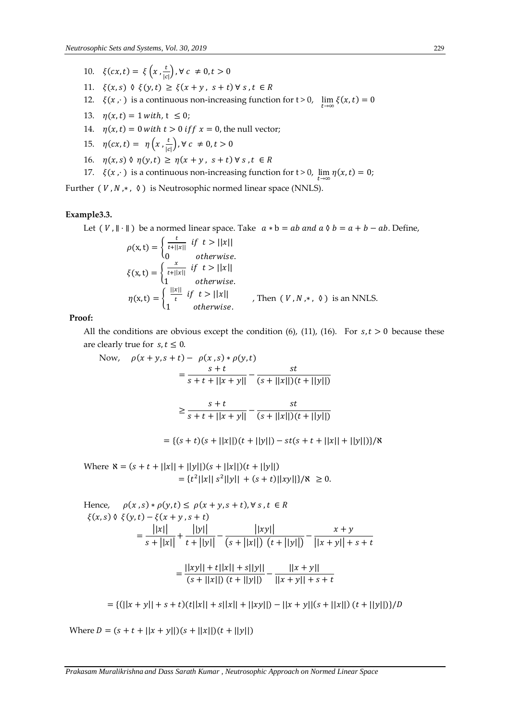- 10.  $\xi(cx, t) = \xi\left(x, \frac{t}{16}\right)$  $\frac{c}{|c|}$ ,  $\forall$   $c \neq 0, t > 0$
- 11.  $\xi(x, s)$   $\delta \xi(y, t) \geq \xi(x + y, s + t) \forall s, t \in R$
- 12.  $\xi(x, \cdot)$  is a continuous non-increasing function for  $t > 0$ ,  $\lim_{t \to \infty} \xi(x, t) = 0$
- 13.  $\eta(x,t) = 1$  with,  $t \le 0$ ;
- 14.  $\eta(x,t) = 0$  with  $t > 0$  if  $f x = 0$ , the null vector;
- 15.  $\eta(cx, t) = \eta\left(x, \frac{t}{16}\right)$  $\frac{c}{|c|}$ ,  $\forall$   $c \neq 0, t > 0$
- 16.  $\eta(x, s) \land \eta(y, t) \geq \eta(x + y, s + t) \forall s, t \in R$
- 17.  $\xi(x, \cdot)$  is a continuous non-increasing function for t > 0,  $\lim_{t \to \infty} \eta(x, t) = 0$ ;

Further ( $V, N, *$ ,  $\Diamond$ ) is Neutrosophic normed linear space (NNLS).

# **Example3.3.**

Let  $(V, \|\cdot\|)$  be a normed linear space. Take  $a * b = ab$  and  $a \land b = a + b - ab$ . Define,

$$
\rho(\mathbf{x}, t) = \begin{cases}\n\frac{t}{t + ||x||} & \text{if } t > ||x|| \\
0 & \text{otherwise.} \n\end{cases}
$$
\n
$$
\xi(\mathbf{x}, t) = \begin{cases}\n\frac{x}{t + ||x||} & \text{if } t > ||x|| \\
1 & \text{otherwise.} \n\end{cases}
$$
\n
$$
\eta(\mathbf{x}, t) = \begin{cases}\n\frac{||x||}{t} & \text{if } t > ||x|| \\
1 & \text{otherwise.}\n\end{cases}
$$
\nThen  $(V, N, *, \theta)$  is an NNLS.

#### **Proof:**

All the conditions are obvious except the condition (6), (11), (16). For  $s, t > 0$  because these are clearly true for  $s, t \leq 0$ .

Now, 
$$
\rho(x + y, s + t) - \rho(x, s) * \rho(y, t)
$$
  
\n
$$
= \frac{s + t}{s + t + ||x + y||} - \frac{st}{(s + ||x||)(t + ||y||)}
$$
\n
$$
\geq \frac{s + t}{s + t + ||x + y||} - \frac{st}{(s + ||x||)(t + ||y||)}
$$

 $=\{(s + t)(s + ||x||)(t + ||y||) - st(s + t + ||x|| + ||y||)\}\/k$ 

Where  $\aleph = (s + t + ||x|| + ||y||)(s + ||x||)(t + ||y||)$  $= \{t^2||x||s^2||y|| + (s+t)||xy||\}/\aleph \ge 0.$ 

Hence, 
$$
\rho(x, s) * \rho(y, t) \le \rho(x + y, s + t), \forall s, t \in R
$$
  
\n
$$
\xi(x, s) \Diamond \xi(y, t) - \xi(x + y, s + t)
$$
\n
$$
= \frac{||x||}{s + ||x||} + \frac{||y||}{t + ||y||} - \frac{||xy||}{(s + ||x||) (t + ||y||)} - \frac{x + y}{||x + y|| + s + t}
$$
\n
$$
= \frac{||xy|| + t||x|| + s||y||}{(s + ||x||) (t + ||y||)} - \frac{||x + y||}{||x + y|| + s + t}
$$

 $= \{ (||x + y|| + s + t)(t||x|| + s||x|| + ||xy||) - ||x + y||(s + ||x||)(t + ||y||)\} / D$ 

Where  $D = (s + t + ||x + y||)(s + ||x||)(t + ||y||)$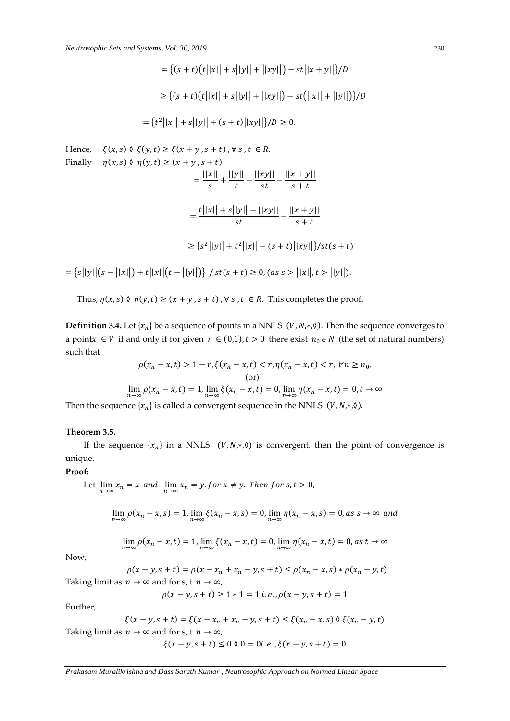$$
= \{(s+t)(t||x||+s||y||+||xy||)-st||x+y||\}/D
$$

$$
\geq \{(s+t)(t||x||+s||y||+||xy||)-st(||x||+||y||)\}/D
$$

$$
= \{t^2||x||+s||y||+(s+t)||xy||\}/D \geq 0.
$$

Hence,  $\xi(x, s) \land \xi(y, t) \geq \xi(x + y, s + t)$ ,  $\forall s, t \in R$ . Finally  $\eta(x, s) \land \eta(y, t) \ge (x + y, s + t)$  $=\frac{||x||}{\sqrt{2}}$  $\frac{|x||}{s} + \frac{||y||}{t}$  $\frac{y||}{t} - \frac{||xy||}{st}$  $\frac{xy||}{st} - \frac{||x+y||}{s+t}$  $s + t$  $=\frac{t||x||+s||y||-||xy||}{t}$  $\frac{|y|| - ||xy||}{st} - \frac{||x + y||}{s + t}$  $s + t$  $\geq$  {s<sup>2</sup>||y|| + t<sup>2</sup>||x|| – (s + t)||xy||}/st(s + t)  $= \{s||y||(s-||x||) + t||x||(t-||y||)\}$  /  $st(s+t) \ge 0$ , (as  $s > ||x||, t > ||y||$ ).

Thus,  $\eta(x, s)$   $\Diamond$   $\eta(y, t) \ge (x + y, s + t)$ ,  $\forall s, t \in R$ . This completes the proof.

**Definition 3.4.** Let  $\{x_n\}$  be a sequence of points in a NNLS  $(V, N, *, \emptyset)$ . Then the sequence converges to a point $x \in V$  if and only if for given  $r \in (0,1)$ ,  $t > 0$  there exist  $n_0 \in N$  (the set of natural numbers) such that

$$
\rho(x_n - x, t) > 1 - r, \xi(x_n - x, t) < r, \eta(x_n - x, t) < r, \forall n \ge n_0. \tag{or}
$$
\n
$$
\lim_{n \to \infty} \rho(x_n - x, t) = 1, \lim_{n \to \infty} \xi(x_n - x, t) = 0, \lim_{n \to \infty} \eta(x_n - x, t) = 0, t \to \infty
$$

Then the sequence  $\{x_n\}$  is called a convergent sequence in the NNLS (V, N, $*, \Diamond$ ).

#### **Theorem 3.5.**

If the sequence  $\{x_n\}$  in a NNLS  $(V, N, *, \lozenge)$  is convergent, then the point of convergence is unique.

## **Proof:**

Let 
$$
\lim_{n \to \infty} x_n = x
$$
 and  $\lim_{n \to \infty} x_n = y$ . *for*  $x \neq y$ . *Then for*  $s, t > 0$ ,

$$
\lim_{n\to\infty}\rho(x_n-x,s)=1,\lim_{n\to\infty}\xi(x_n-x,s)=0,\lim_{n\to\infty}\eta(x_n-x,s)=0,as\ s\to\infty\ and
$$

$$
\lim_{n\to\infty} \rho(x_n - x, t) = 1, \lim_{n\to\infty} \xi(x_n - x, t) = 0, \lim_{n\to\infty} \eta(x_n - x, t) = 0, \text{as } t \to \infty
$$

Now,

 $\rho(x - y, s + t) = \rho(x - x_n + x_n - y, s + t) \leq \rho(x_n - x, s) * \rho(x_n - y, t)$ Taking limit as  $n \to \infty$  and for s, t  $n \to \infty$ ,

$$
\rho(x-y,s+t) \geq 1*1 = 1\,i.e., \rho(x-y,s+t) = 1
$$

Further,

$$
\xi(x - y, s + t) = \xi(x - x_n + x_n - y, s + t) \le \xi(x_n - x, s) \Diamond \xi(x_n - y, t)
$$

Taking limit as  $n \to \infty$  and for s, t  $n \to \infty$ ,

$$
\xi(x - y, s + t) \le 0 \lor 0 = 0i.e., \xi(x - y, s + t) = 0
$$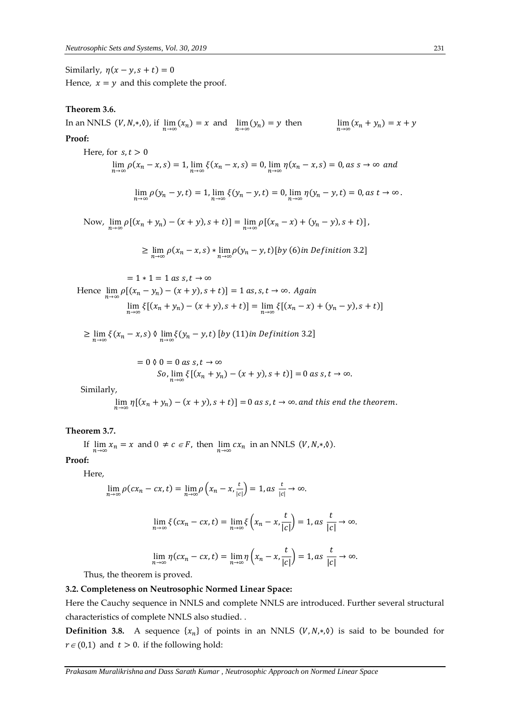Similarly,  $\eta(x - y, s + t) = 0$ 

Hence,  $x = y$  and this complete the proof.

# **Theorem 3.6.**

In an NNLS  $(V, N, *, \Diamond)$ , if  $\lim_{n \to \infty} (x_n) = x$  and  $\lim_{n \to \infty} (y_n) = y$  then  $\lim_{n \to \infty} (x_n + y_n) = x + y$ 

### **Proof:**

Here, for 
$$
s, t > 0
$$
  
\n
$$
\lim_{n \to \infty} \rho(x_n - x, s) = 1, \lim_{n \to \infty} \xi(x_n - x, s) = 0, \lim_{n \to \infty} \eta(x_n - x, s) = 0, as s \to \infty \text{ and}
$$

$$
\lim_{n\to\infty}\rho(y_n-y,t)=1,\lim_{n\to\infty}\xi(y_n-y,t)=0,\lim_{n\to\infty}\eta(y_n-y,t)=0, \text{as } t\to\infty.
$$

Now,  $\lim_{n\to\infty} \rho[(x_n + y_n) - (x + y), s + t)] = \lim_{n\to\infty} \rho[(x_n - x) + (y_n - y), s + t)],$ 

$$
\geq \lim_{n \to \infty} \rho(x_n - x, s) * \lim_{n \to \infty} \rho(y_n - y, t) [by (6) in Definition 3.2]
$$

$$
= 1 * 1 = 1 as s, t \to \infty
$$
  
Hence  $\lim_{n \to \infty} \rho[(x_n - y_n) - (x + y), s + t)] = 1 as, s, t \to \infty$ . Again  

$$
\lim_{n \to \infty} \xi[(x_n + y_n) - (x + y), s + t)] = \lim_{n \to \infty} \xi[(x_n - x) + (y_n - y), s + t)]
$$

 $\geq \lim_{n\to\infty} \xi(x_n-x,s) \vee \lim_{n\to\infty} \xi(y_n-y,t)$  [by (11) in Definition 3.2]

$$
= 0 \quad \text{for} \quad 0 = 0 \text{ as } s, t \to \infty
$$
\n
$$
\text{So, } \lim_{n \to \infty} \xi \left[ (x_n + y_n) - (x + y), s + t \right] = 0 \text{ as } s, t \to \infty.
$$

Similarly,

$$
\lim_{n\to\infty}\eta[(x_n+y_n)-(x+y),s+t)]=0 \text{ as } s,t\to\infty \text{ and this end the theorem.}
$$

#### **Theorem 3.7.**

If  $\lim_{n \to \infty} x_n = x$  and  $0 \neq c \in F$ , then  $\lim_{n \to \infty} cx_n$  in an NNLS  $(V, N, *, \lozenge)$ .

**Proof:**

Here,

$$
\lim_{n \to \infty} \rho(cx_n - cx, t) = \lim_{n \to \infty} \rho\left(x_n - x, \frac{t}{|c|}\right) = 1, \text{ as } \frac{t}{|c|} \to \infty.
$$

$$
\lim_{n \to \infty} \xi(cx_n - cx, t) = \lim_{n \to \infty} \xi\left(x_n - x, \frac{t}{|c|}\right) = 1, \text{ as } \frac{t}{|c|} \to \infty.
$$

$$
\lim_{n \to \infty} \eta(cx_n - cx, t) = \lim_{n \to \infty} \eta\left(x_n - x, \frac{t}{|c|}\right) = 1, \text{as } \frac{t}{|c|} \to \infty.
$$

Thus, the theorem is proved.

## **3.2. Completeness on Neutrosophic Normed Linear Space:**

Here the Cauchy sequence in NNLS and complete NNLS are introduced. Further several structural characteristics of complete NNLS also studied. .

**Definition 3.8.** A sequence  $\{x_n\}$  of points in an NNLS  $(V, N, *, \lozenge)$  is said to be bounded for  $r \in (0,1)$  and  $t > 0$ . if the following hold: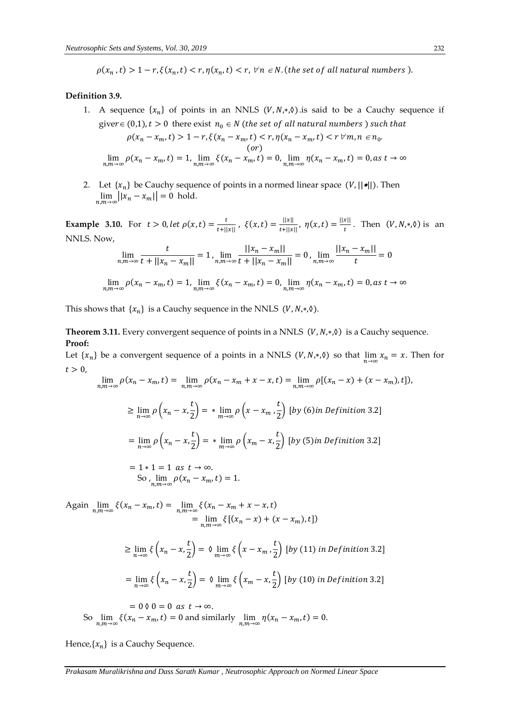$\rho(x_n,t) > 1-r, \xi(x_n,t) < r, \eta(x_n,t) < r, \forall n \in \mathbb{N}$ . (the set of all natural numbers).

#### **Definition 3.9.**

- 1. A sequence  $\{x_n\}$  of points in an NNLS  $(V, N, * , \Diamond)$  is said to be a Cauchy sequence if giver  $\in (0,1)$ ,  $t > 0$  there exist  $n_0 \in N$  (the set of all natural numbers) such that  $\rho(x_n - x_m, t) > 1 - r, \xi(x_n - x_m, t) < r, \eta(x_n - x_m, t) < r \,\forall m, n \in n_0.$  $($  $\lim_{n,m \to \infty} \rho(x_n - x_m, t) = 1, \lim_{n,m \to \infty} \xi(x_n - x_m, t) = 0, \lim_{n,m \to \infty} \eta(x_n - x_m, t) = 0, \text{as } t \to \infty$
- 2. Let  $\{x_n\}$  be Cauchy sequence of points in a normed linear space  $(V, ||\bullet||)$ . Then  $\lim_{n,m\to\infty}||x_n-x_m||=0$  hold.

**Example 3.10.** For  $t > 0$ , let  $\rho(x,t) = \frac{t}{t+1}$  $\frac{t}{t+||x||}$ ,  $\xi(x,t) = \frac{||x||}{t+||x||}$  $\frac{||x||}{|t+||x||}, \eta(x,t) = \frac{||x||}{t}$  $\frac{x_{\parallel}}{t}$ . Then  $(V, N, *, \delta)$  is an NNLS. Now, || − ||  $||u - u||$ 

$$
\lim_{n,m \to \infty} \frac{t}{t + ||x_n - x_m||} = 1, \lim_{n,m \to \infty} \frac{||x_n - x_m||}{t + ||x_n - x_m||} = 0, \lim_{n,m \to \infty} \frac{||x_n - x_m||}{t} = 0
$$
  

$$
\lim_{n,m \to \infty} \rho(x_n - x_m, t) = 1, \lim_{n,m \to \infty} \xi(x_n - x_m, t) = 0, \lim_{n,m \to \infty} \eta(x_n - x_m, t) = 0, \text{as } t \to \infty
$$

This shows that  $\{x_n\}$  is a Cauchy sequence in the NNLS (V, N, $*, \Diamond$ ).

Theorem 3.11. Every convergent sequence of points in a NNLS (V, N,\*,0) is a Cauchy sequence. **Proof:**

Let  $\{x_n\}$  be a convergent sequence of a points in a NNLS  $(V, N, *, \delta)$  so that  $\lim_{n\to\infty} x_n = x$ . Then for  $t > 0$ ,

$$
\lim_{n,m\to\infty} \rho(x_n - x_m, t) = \lim_{n,m\to\infty} \rho(x_n - x_m + x - x, t) = \lim_{n,m\to\infty} \rho[(x_n - x) + (x - x_m), t]),
$$
  
\n
$$
\geq \lim_{n\to\infty} \rho\left(x_n - x, \frac{t}{2}\right) = * \lim_{m\to\infty} \rho\left(x - x_m, \frac{t}{2}\right) \text{ [by (6) in Definition 3.2]}
$$
  
\n
$$
= \lim_{n\to\infty} \rho\left(x_n - x, \frac{t}{2}\right) = * \lim_{m\to\infty} \rho\left(x_m - x, \frac{t}{2}\right) \text{ [by (5) in Definition 3.2]}
$$
  
\n
$$
= 1 * 1 = 1 \text{ as } t \to \infty.
$$
  
\nSo,  $\lim_{n,m\to\infty} \rho(x_n - x_m, t) = 1.$ 

Again 
$$
\lim_{n,m \to \infty} \xi(x_n - x_m, t) = \lim_{n,m \to \infty} \xi(x_n - x_m + x - x, t)
$$
  
\n
$$
= \lim_{n,m \to \infty} \xi[(x_n - x) + (x - x_m), t])
$$
  
\n
$$
\geq \lim_{n \to \infty} \xi\left(x_n - x, \frac{t}{2}\right) = \emptyset \lim_{m \to \infty} \xi\left(x - x_m, \frac{t}{2}\right) \text{ [by (11) in Definition 3.2]}
$$
  
\n
$$
= \lim_{n \to \infty} \xi\left(x_n - x, \frac{t}{2}\right) = \emptyset \lim_{m \to \infty} \xi\left(x_m - x, \frac{t}{2}\right) \text{ [by (10) in Definition 3.2]}
$$
  
\n
$$
= 0 \emptyset 0 = 0 \text{ as } t \to \infty.
$$
  
\nSo 
$$
\lim_{n,m \to \infty} \xi(x_n - x_m, t) = 0 \text{ and similarly } \lim_{n,m \to \infty} \eta(x_n - x_m, t) = 0.
$$

Hence,  $\{x_n\}$  is a Cauchy Sequence.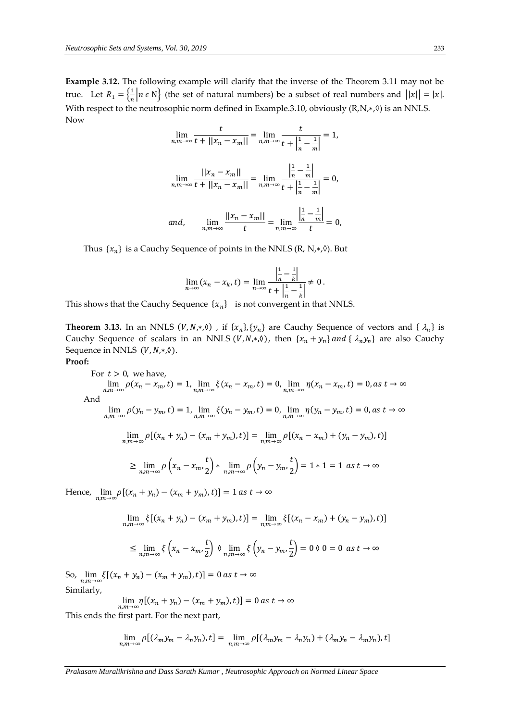**Example 3.12.** The following example will clarify that the inverse of the Theorem 3.11 may not be true. Let  $R_1 = \left\{\frac{1}{n}\right\}$  $\frac{1}{n}$  |n  $\epsilon$  N $\}$  (the set of natural numbers) be a subset of real numbers and  $||x|| = |x|$ . With respect to the neutrosophic norm defined in Example.3.10, obviously  $(R, N, *, \Diamond)$  is an NNLS. Now

$$
\lim_{n,m \to \infty} \frac{t}{t + ||x_n - x_m||} = \lim_{n,m \to \infty} \frac{t}{t + \left|\frac{1}{n} - \frac{1}{m}\right|} = 1,
$$
\n
$$
\lim_{n,m \to \infty} \frac{||x_n - x_m||}{t + ||x_n - x_m||} = \lim_{n,m \to \infty} \frac{\left|\frac{1}{n} - \frac{1}{m}\right|}{t + \left|\frac{1}{n} - \frac{1}{m}\right|} = 0,
$$
\nand,\n
$$
\lim_{n,m \to \infty} \frac{||x_n - x_m||}{t} = \lim_{n,m \to \infty} \frac{\left|\frac{1}{n} - \frac{1}{m}\right|}{t} = 0,
$$

Thus  $\{x_n\}$  is a Cauchy Sequence of points in the NNLS (R, N, $\ast$ , $\Diamond$ ). But

$$
\lim_{n \to \infty} (x_n - x_k, t) = \lim_{n \to \infty} \frac{\left| \frac{1}{n} - \frac{1}{k} \right|}{t + \left| \frac{1}{n} - \frac{1}{k} \right|} \neq 0.
$$

This shows that the Cauchy Sequence  $\{x_n\}$  is not convergent in that NNLS.

**Theorem 3.13.** In an NNLS  $(V, N, *, 0)$ , if  $\{x_n\}, \{y_n\}$  are Cauchy Sequence of vectors and  $\{\lambda_n\}$  is Cauchy Sequence of scalars in an NNLS  $(V, N, *, \lozenge)$ , then  $\{x_n + y_n\}$  and  $\{\lambda_n y_n\}$  are also Cauchy Sequence in NNLS  $(V, N, *, \lozenge)$ .

**Proof:**

For 
$$
t > 0
$$
, we have,  
\n
$$
\lim_{n,m \to \infty} \rho(x_n - x_m, t) = 1, \lim_{n,m \to \infty} \xi(x_n - x_m, t) = 0, \lim_{n,m \to \infty} \eta(x_n - x_m, t) = 0, as t \to \infty
$$
\nAnd  
\n
$$
\lim_{n,m \to \infty} \rho(y_n - y_m, t) = 1, \lim_{n,m \to \infty} \xi(y_n - y_m, t) = 0, \lim_{n,m \to \infty} \eta(y_n - y_m, t) = 0, as t \to \infty
$$
\n
$$
\lim_{n,m \to \infty} \rho[(x_n + y_n) - (x_m + y_m), t)] = \lim_{n,m \to \infty} \rho[(x_n - x_m) + (y_n - y_m), t)]
$$
\n
$$
\geq \lim_{n,m \to \infty} \rho\left(x_n - x_m, \frac{t}{2}\right) * \lim_{n,m \to \infty} \rho\left(y_n - y_m, \frac{t}{2}\right) = 1 * 1 = 1 as t \to \infty
$$

Hence,  $\lim_{n,m\to\infty} \rho[(x_n + y_n) - (x_m + y_m),t)] = 1$  as  $t \to \infty$ 

$$
\lim_{n,m \to \infty} \xi[(x_n + y_n) - (x_m + y_m), t)] = \lim_{n,m \to \infty} \xi[(x_n - x_m) + (y_n - y_m), t)]
$$

$$
\leq \lim_{n,m \to \infty} \xi \left( x_n - x_m, \frac{t}{2} \right) \vartheta \lim_{n,m \to \infty} \xi \left( y_n - y_m, \frac{t}{2} \right) = 0 \vartheta \ 0 = 0 \ as \ t \to \infty
$$

So,  $\lim_{n,m \to \infty} \xi[(x_n + y_n) - (x_m + y_m),t)] = 0$  as  $t \to \infty$ Similarly,

$$
\lim_{n,m\to\infty}\eta[(x_n+y_n)-(x_m+y_m),t)]=0 \text{ as } t\to\infty
$$

This ends the first part. For the next part,

$$
\lim_{n,m\to\infty}\rho[(\lambda_m y_m-\lambda_n y_n),t]=\lim_{n,m\to\infty}\rho[(\lambda_m y_m-\lambda_n y_n)+(\lambda_m y_n-\lambda_m y_n),t]
$$

*Prakasam Muralikrishna and Dass Sarath Kumar , Neutrosophic Approach on Normed Linear Space*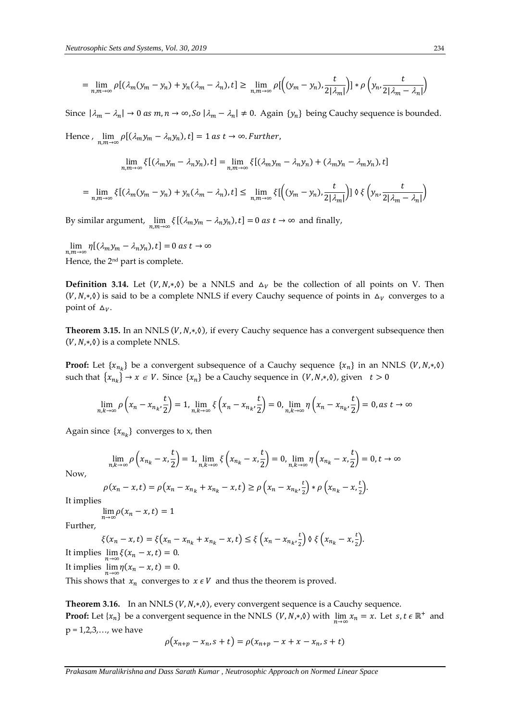$$
= \lim_{n,m \to \infty} \rho \left[ (\lambda_m (y_m - y_n) + y_n (\lambda_m - \lambda_n), t \right] \ge \lim_{n,m \to \infty} \rho \left[ \left( (y_m - y_n), \frac{t}{2|\lambda_m|} \right) \right] * \rho \left( y_n, \frac{t}{2|\lambda_m - \lambda_n|} \right)
$$

Since  $|\lambda_m - \lambda_n| \to 0$  as  $m, n \to \infty$ , So  $|\lambda_m - \lambda_n| \neq 0$ . Again  $\{y_n\}$  being Cauchy sequence is bounded.

Hence ,  $\lim_{n,m\to\infty}\rho\lbrack(\lambda_m y_m-\lambda_n y_n),t\rbrack=1$  as  $t\to\infty$ . Further,

$$
\lim_{n,m\to\infty}\xi[(\lambda_my_m-\lambda_ny_n),t]=\lim_{n,m\to\infty}\xi[(\lambda_my_m-\lambda_ny_n)+(\lambda_my_n-\lambda_my_n),t]
$$

$$
= \lim_{n,m \to \infty} \xi \left[ (\lambda_m (y_m - y_n) + y_n (\lambda_m - \lambda_n), t \right] \leq \lim_{n,m \to \infty} \xi \left[ \left( (y_m - y_n), \frac{t}{2 | \lambda_m |} \right) \right] \left\{ \xi \left( y_n, \frac{t}{2 | \lambda_m - \lambda_n |} \right) \right\}
$$

By similar argument,  $\lim_{n,m\to\infty} \xi[(\lambda_m y_m - \lambda_n y_n), t] = 0$  as  $t \to \infty$  and finally,

 $\lim_{n,m\to\infty} \eta \left[ (\lambda_m y_m - \lambda_n y_n), t \right] = 0$  as  $t \to \infty$ Hence, the 2nd part is complete.

**Definition 3.14.** Let  $(V, N, *, \emptyset)$  be a NNLS and  $\Delta_V$  be the collection of all points on V. Then  $(V, N, *, \delta)$  is said to be a complete NNLS if every Cauchy sequence of points in  $\Delta_V$  converges to a point of  $\Delta_V$ .

Theorem 3.15. In an NNLS (V, N,\*, 0), if every Cauchy sequence has a convergent subsequence then  $(V, N, *, \lozenge)$  is a complete NNLS.

**Proof:** Let  $\{x_{n_k}\}$  be a convergent subsequence of a Cauchy sequence  $\{x_n\}$  in an NNLS  $(V, N, *, \emptyset)$ such that  $\{x_{n_k}\}\rightarrow x \in V$ . Since  $\{x_n\}$  be a Cauchy sequence in  $(V, N, *, \emptyset)$ , given  $t > 0$ 

$$
\lim_{n,k\to\infty} \rho\left(x_n - x_{n_k}, \frac{t}{2}\right) = 1, \lim_{n,k\to\infty} \xi\left(x_n - x_{n_k}, \frac{t}{2}\right) = 0, \lim_{n,k\to\infty} \eta\left(x_n - x_{n_k}, \frac{t}{2}\right) = 0, \text{ as } t \to \infty
$$

Again since  $\{x_{n_k}\}$  converges to x, then

$$
\lim_{n,k\to\infty} \rho\left(x_{n_k} - x, \frac{t}{2}\right) = 1, \lim_{n,k\to\infty} \xi\left(x_{n_k} - x, \frac{t}{2}\right) = 0, \lim_{n,k\to\infty} \eta\left(x_{n_k} - x, \frac{t}{2}\right) = 0, t \to \infty
$$

Now,

$$
\rho(x_n - x, t) = \rho(x_n - x_{n_k} + x_{n_k} - x, t) \ge \rho\left(x_n - x_{n_k}, \frac{t}{2}\right) * \rho\left(x_{n_k} - x, \frac{t}{2}\right).
$$

It implies

$$
\lim_{n\to\infty}\rho(x_n-x,t)=1
$$

Further,

$$
\xi(x_n - x, t) = \xi\left(x_n - x_{n_k} + x_{n_k} - x, t\right) \le \xi\left(x_n - x_{n_k}, \frac{t}{2}\right) \varphi \xi\left(x_{n_k} - x, \frac{t}{2}\right).
$$
  
It implies 
$$
\lim_{n \to \infty} \xi(x_n - x, t) = 0.
$$
  
It implies 
$$
\lim_{n \to \infty} \eta(x_n - x, t) = 0.
$$

This shows that  $x_n$  converges to  $x \in V$  and thus the theorem is proved.

**Theorem 3.16.** In an NNLS  $(V, N, *, \delta)$ , every convergent sequence is a Cauchy sequence. **Proof:** Let  $\{x_n\}$  be a convergent sequence in the NNLS  $(V, N, *, \emptyset)$  with  $\lim_{n \to \infty} x_n = x$ . Let  $s, t \in \mathbb{R}^+$  and  $p = 1, 2, 3, \ldots$ , we have

$$
\rho(x_{n+p} - x_n, s + t) = \rho(x_{n+p} - x + x - x_n, s + t)
$$

*Prakasam Muralikrishna and Dass Sarath Kumar , Neutrosophic Approach on Normed Linear Space*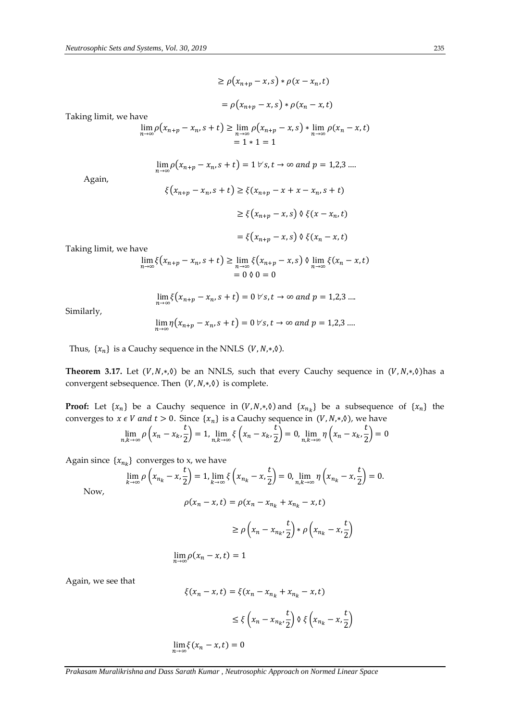$$
\geq \rho(x_{n+p}-x,s) * \rho(x-x_n,t)
$$

$$
= \rho(x_{n+p} - x, s) * \rho(x_n - x, t)
$$

Taking limit, we have

$$
\lim_{n \to \infty} \rho(x_{n+p} - x_n, s+t) \ge \lim_{n \to \infty} \rho(x_{n+p} - x, s) * \lim_{n \to \infty} \rho(x_n - x, t)
$$
  
= 1 \* 1 = 1

$$
\lim_{n\to\infty}\rho\big(x_{n+p}-x_n,s+t\big)=1\,\forall\,s,t\to\infty\,\,and\,\,p=1,2,3\,\ldots
$$

Again,

$$
\xi(x_{n+p} - x_n, s+t) \ge \xi(x_{n+p} - x + x - x_n, s+t)
$$

$$
\ge \xi(x_{n+p} - x, s) \lor \xi(x - x_n, t)
$$

$$
= \xi(x_{n+p} - x, s) \lor \xi(x_n - x, t)
$$

Taking limit, we have

$$
\lim_{n \to \infty} \xi(x_{n+p} - x_n, s+t) \ge \lim_{n \to \infty} \xi(x_{n+p} - x, s) \vartheta \lim_{n \to \infty} \xi(x_n - x, t)
$$
  
= 0  $\vartheta$  0 = 0

$$
\lim_{n\to\infty}\xi(x_{n+p}-x_n,s+t)=0\,\forall\,s,t\to\infty\,\,and\,\,p=1,2,3\,\ldots
$$

Similarly,

$$
\lim_{n\to\infty}\eta\big(x_{n+p}-x_n, s+t\big)=0\,\forall\,s,t\to\infty\,\,and\,\,p=1,2,3\,\ldots
$$

Thus,  $\{x_n\}$  is a Cauchy sequence in the NNLS (V, N, $*, \Diamond$ ).

**Theorem 3.17.** Let  $(V, N, *, \lozenge)$  be an NNLS, such that every Cauchy sequence in  $(V, N, *, \lozenge)$  has a convergent sebsequence. Then  $(V, N, *, \delta)$  is complete.

**Proof:** Let  $\{x_n\}$  be a Cauchy sequence in  $(V, N, *, \emptyset)$  and  $\{x_{n_k}\}$  be a subsequence of  $\{x_n\}$  the converges to  $x \in V$  and  $t > 0$ . Since  $\{x_n\}$  is a Cauchy sequence in  $(V, N, *, \emptyset)$ , we have  $\lim_{n,k\to\infty}\rho\left(x_n-x_k,\frac{t}{2}\right)$  $\left(\frac{t}{2}\right) = 1, \lim_{n,k \to \infty} \xi\left(x_n - x_k, \frac{t}{2}\right)$  $\left(\frac{t}{2}\right)$  = 0,  $\lim_{n,k\to\infty} \eta\left(x_n - x_k, \frac{t}{2}\right)$  $\left(\frac{1}{2}\right) = 0$ 

Again since  $\{x_{n_k}\}$  converges to x, we have

$$
\lim_{k \to \infty} \rho \left( x_{n_k} - x, \frac{t}{2} \right) = 1, \lim_{k \to \infty} \xi \left( x_{n_k} - x, \frac{t}{2} \right) = 0, \lim_{n, k \to \infty} \eta \left( x_{n_k} - x, \frac{t}{2} \right) = 0.
$$
\n
$$
\rho(x_n - x, t) = \rho(x_n - x_{n_k} + x_{n_k} - x, t)
$$
\n
$$
\ge \rho \left( x_n - x_{n_k}, \frac{t}{2} \right) * \rho \left( x_{n_k} - x, \frac{t}{2} \right)
$$

$$
\lim_{n\to\infty}\rho(x_n-x,t)=1
$$

Again, we see that

Now,

$$
\xi(x_n - x, t) = \xi(x_n - x_{n_k} + x_{n_k} - x, t)
$$
  

$$
\leq \xi \left(x_n - x_{n_k}, \frac{t}{2}\right) \delta \xi \left(x_{n_k} - x, \frac{t}{2}\right)
$$
  

$$
\lim_{n \to \infty} \xi(x_n - x, t) = 0
$$

*Prakasam Muralikrishna and Dass Sarath Kumar , Neutrosophic Approach on Normed Linear Space*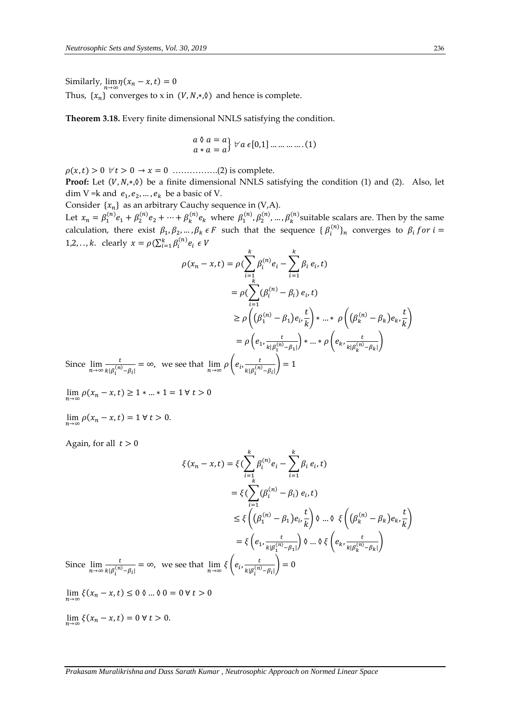Similarly,  $\lim_{n\to\infty} \eta(x_n - x, t) = 0$ 

Thus,  $\{x_n\}$  converges to x in  $(V, N, *, \emptyset)$  and hence is complete.

**Theorem 3.18.** Every finite dimensional NNLS satisfying the condition.

$$
\begin{array}{c} a \lor a = a \\ a * a = a \end{array} \forall a \in [0,1] \dots \dots \dots \dots \dots (1)
$$

 $\rho(x,t) > 0 \ \forall t > 0 \rightarrow x = 0 \dots (2)$  is complete.

**Proof:** Let  $(V, N, * , \lozenge)$  be a finite dimensional NNLS satisfying the condition (1) and (2). Also, let dim V = k and  $e_1, e_2, ..., e_k$  be a basic of V.

Consider  $\{x_n\}$  as an arbitrary Cauchy sequence in (V,A).

Let  $x_n = \beta_1^{(n)} e_1 + \beta_2^{(n)} e_2 + \dots + \beta_k^{(n)} e_k$  where  $\beta_1^{(n)}, \beta_2^{(n)}, \dots, \beta_k^{(n)}$  suitable scalars are. Then by the same calculation, there exist  $\beta_1, \beta_2, ..., \beta_k \in F$  such that the sequence  $\{\beta_i^{(n)}\}_n$  converges to  $\beta_i$  for  $i =$ 1,2,.., *k*. clearly  $x = \rho(\sum_{i=1}^{k} \beta_i^{(n)} e_i \in V)$  $\overline{b}$ 

$$
\rho(x_n - x, t) = \rho \left( \sum_{i=1}^k \beta_i^{(n)} e_i - \sum_{i=1}^k \beta_i e_i, t \right)
$$
  
\n
$$
= \rho \left( \sum_{i=1}^k (\beta_i^{(n)} - \beta_i) e_i, t \right)
$$
  
\n
$$
\ge \rho \left( (\beta_1^{(n)} - \beta_1) e_i, \frac{t}{k} \right) * ... * \rho \left( (\beta_k^{(n)} - \beta_k) e_k, \frac{t}{k} \right)
$$
  
\n
$$
= \rho \left( e_1, \frac{t}{k |\beta_1^{(n)} - \beta_1|} \right) * ... * \rho \left( e_k, \frac{t}{k |\beta_k^{(n)} - \beta_k|} \right)
$$
  
\n
$$
\ge \lim_{n \to \infty} \frac{t}{k |\beta_i^{(n)} - \beta_i|} = \infty, \text{ we see that } \lim_{n \to \infty} \rho \left( e_i, \frac{t}{k |\beta_i^{(n)} - \beta_i|} \right) = 1
$$

Since  $\lim_{n\to\infty} \frac{t}{k|\beta_i^{(n)}}$  $\frac{c}{k|\beta_i^{(n)}-\beta_i|} = \infty$ , we see that  $\lim_{n\to\infty}$  $|k|\beta_i$  $-\beta_i$ 

- $\lim_{n \to \infty} \rho(x_n x, t) \ge 1 * ... * 1 = 1 \forall t > 0$
- $\lim_{n\to\infty}\rho(x_n-x,t)=1\,\forall\,t>0.$

Again, for all  $t > 0$ 

$$
\xi(x_n - x, t) = \xi \left( \sum_{i=1}^k \beta_i^{(n)} e_i - \sum_{i=1}^k \beta_i e_i, t \right)
$$
  
\n
$$
= \xi \left( \sum_{i=1}^k (\beta_i^{(n)} - \beta_i) e_i, t \right)
$$
  
\n
$$
\leq \xi \left( (\beta_1^{(n)} - \beta_1) e_i, \frac{t}{k} \right) \vartheta \dots \vartheta \xi \left( (\beta_k^{(n)} - \beta_k) e_k, \frac{t}{k} \right)
$$
  
\n
$$
= \xi \left( e_1, \frac{t}{k | \beta_1^{(n)} - \beta_1 |} \right) \vartheta \dots \vartheta \xi \left( e_k, \frac{t}{k | \beta_k^{(n)} - \beta_k |} \right)
$$
  
\nSince  $\lim_{n \to \infty} \frac{t}{k | \beta_i^{(n)} - \beta_i |} = \infty$ , we see that  $\lim_{n \to \infty} \xi \left( e_i, \frac{t}{k | \beta_i^{(n)} - \beta_i |} \right) = 0$ 

 $\lim_{n\to\infty} \xi(x_n-x,t) \leq 0$   $\theta \dots \theta$   $0 = 0$   $\forall$   $t > 0$ 

 $\lim_{n\to\infty} \xi(x_n - x, t) = 0 \,\forall \, t > 0.$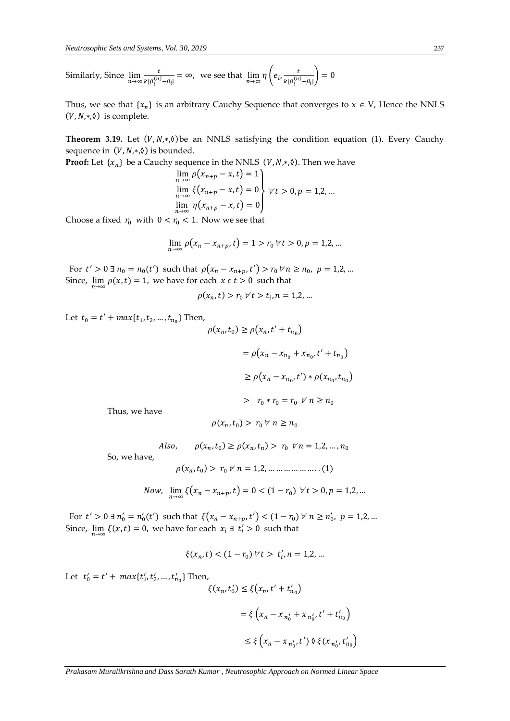Similarly, Since  $\lim_{n\to\infty} \frac{t}{k|\beta_i^{(n)}}$  $\frac{t}{k|\beta_i^{(n)}-\beta_i|} = \infty$ , we see that  $\lim_{n\to\infty} \eta \left(e_i, \frac{t}{k|\beta_i^{(n)}}\right)$  $\frac{\mu}{\kappa |\beta_i^{(n)} - \beta_i|} = 0$ 

Thus, we see that  $\{x_n\}$  is an arbitrary Cauchy Sequence that converges to  $x \in V$ , Hence the NNLS  $(V, N, *, \lozenge)$  is complete.

**Theorem 3.19.** Let  $(V, N, *, \emptyset)$  be an NNLS satisfying the condition equation (1). Every Cauchy sequence in  $(V, N, *, \lozenge)$  is bounded.

**Proof:** Let  $\{x_n\}$  be a Cauchy sequence in the NNLS  $(V, N, *, \emptyset)$ . Then we have

$$
\lim_{n \to \infty} \rho(x_{n+p} - x, t) = 1 \n\lim_{n \to \infty} \xi(x_{n+p} - x, t) = 0 \n\lim_{n \to \infty} \eta(x_{n+p} - x, t) = 0
$$
\n
$$
Vt > 0, p = 1, 2, ...
$$

Choose a fixed  $r_0$  with  $0 < r_0 < 1$ . Now we see that

$$
\lim_{n \to \infty} \rho(x_n - x_{n+p}, t) = 1 > r_0 \,\forall \, t > 0, p = 1, 2, \dots
$$

For  $t' > 0 \exists n_0 = n_0(t')$  such that  $\rho(x_n - x_{n+p}, t') > r_0 \,\forall n \ge n_0, \ p = 1, 2, ...$ Since,  $\lim_{n\to\infty} \rho(x,t) = 1$ , we have for each  $x \in t > 0$  such that

$$
\rho(x_n, t) > r_0 \,\forall \, t > t_i, n = 1, 2, \dots
$$

Let  $t_0 = t' + max\{t_1, t_2, ..., t_{n_0}\}$  Then,

$$
\rho(x_n, t_0) \ge \rho(x_n, t' + t_{n_0})
$$
  
=  $\rho(x_n - x_{n_0} + x_{n_0}, t' + t_{n_0})$   
 $\ge \rho(x_n - x_{n_0}, t') * \rho(x_{n_0}, t_{n_0})$   
 $> r_0 * r_0 = r_0 \quad \forall \ n \ge n_0$ 

Thus, we have

$$
\rho(x_n,t_0) > r_0 \,\forall\; n \geq n_0
$$

Also,  $\rho(x_n, t_0) \ge \rho(x_n, t_n) > r_0 \quad \forall n = 1, 2, ..., n_0$ 

So, we have,

$$
\rho(x_n, t_0) > r_0 \,\forall \, n = 1, 2, \dots \dots \dots \dots \dots \dots (1)
$$

Now, 
$$
\lim_{n \to \infty} \xi(x_n - x_{n+p}, t) = 0 < (1 - r_0) \quad \forall t > 0, p = 1, 2, ...
$$

For  $t' > 0 \exists n'_0 = n'_0(t')$  such that  $\xi(x_n - x_{n+p}, t') < (1 - r_0) \forall n \ge n'_0$ ,  $p = 1, 2, ...$ Since,  $\lim_{n\to\infty} \xi(x,t) = 0$ , we have for each  $x_i \exists t'_i > 0$  such that

$$
\xi(x_n, t) < (1 - r_0) \, \forall \, t > \, t_i', n = 1, 2, \dots
$$

Let  $t'_0 = t' + max\{t'_1, t'_2, ..., t'_{n_0}\}$  Then,

$$
\xi(x_n, t'_0) \le \xi(x_n, t' + t'_{n_0})
$$
  
=  $\xi(x_n - x_{n'_0} + x_{n'_0}, t' + t'_{n_0})$   
 $\le \xi(x_n - x_{n'_0}, t') \land \xi(x_{n'_0}, t'_{n_0})$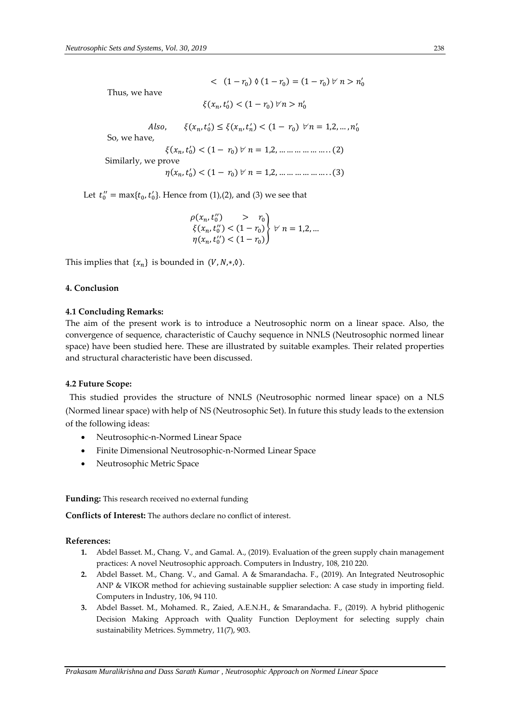$(1 - r_0) \mathbin{\lozenge} (1 - r_0) = (1 - r_0) \mathbin{\triangledown} n > n'_0$ 

Thus, we have

 $\xi(x_n, t'_0) < (1 - r_0) \, \forall n > n'_0$ 

Also,  $\xi(x_n, t'_0) \le \xi(x_n, t'_n) < (1 - r_0) \quad \forall n = 1, 2, ..., n'_0$ 

So, we have,

 $\xi(x_n, t'_0) < (1 - r_0) \, \forall \, n = 1, 2, \dots \dots \dots \dots \dots \dots (2)$ Similarly, we prove

 $\eta(x_n, t'_0) < (1 - r_0) \, \forall \, n = 1, 2, \dots \dots \dots \dots \dots \dots (3)$ 

Let  $t''_0 = \max\{t_0, t'_0\}$ . Hence from (1),(2), and (3) we see that

$$
\begin{array}{l}\n\rho(x_n, t_0'') > r_0 \\
\xi(x_n, t_0'') < (1 - r_0) \\
\eta(x_n, t_0'') < (1 - r_0)\n\end{array}\n\bigg\} \quad \forall \ n = 1, 2, \dots
$$

This implies that  $\{x_n\}$  is bounded in  $(V, N, *, \lozenge)$ .

## **4. Conclusion**

#### **4.1 Concluding Remarks:**

The aim of the present work is to introduce a Neutrosophic norm on a linear space. Also, the convergence of sequence, characteristic of Cauchy sequence in NNLS (Neutrosophic normed linear space) have been studied here. These are illustrated by suitable examples. Their related properties and structural characteristic have been discussed.

#### **4.2 Future Scope:**

This studied provides the structure of NNLS (Neutrosophic normed linear space) on a NLS (Normed linear space) with help of NS (Neutrosophic Set). In future this study leads to the extension of the following ideas:

- Neutrosophic-n-Normed Linear Space
- Finite Dimensional Neutrosophic-n-Normed Linear Space
- Neutrosophic Metric Space

**Funding:** This research received no external funding

**Conflicts of Interest:** The authors declare no conflict of interest.

#### **References:**

- **1.** Abdel Basset. M., Chang. V., and Gamal. A., (2019). Evaluation of the green supply chain management practices: A novel Neutrosophic approach. Computers in Industry, 108, 210 220.
- **2.** Abdel Basset. M., Chang. V., and Gamal. A & Smarandacha. F., (2019). An Integrated Neutrosophic ANP & VIKOR method for achieving sustainable supplier selection: A case study in importing field. Computers in Industry, 106, 94 110.
- **3.** Abdel Basset. M., Mohamed. R., Zaied, A.E.N.H., & Smarandacha. F., (2019). A hybrid plithogenic Decision Making Approach with Quality Function Deployment for selecting supply chain sustainability Metrices. Symmetry, 11(7), 903.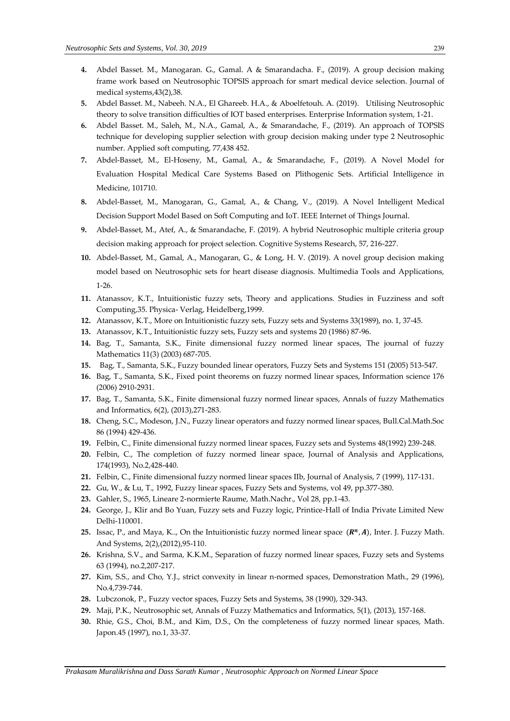- **4.** Abdel Basset. M., Manogaran. G., Gamal. A & Smarandacha. F., (2019). A group decision making frame work based on Neutrosophic TOPSIS approach for smart medical device selection. Journal of medical systems,43(2),38.
- **5.** Abdel Basset. M., Nabeeh. N.A., El Ghareeb. H.A., & Aboelfetouh. A. (2019). Utilising Neutrosophic theory to solve transition difficulties of IOT based enterprises. Enterprise Information system, 1-21.
- **6.** Abdel Basset. M., Saleh, M., N.A., Gamal, A., & Smarandache, F., (2019). An approach of TOPSIS technique for developing supplier selection with group decision making under type 2 Neutrosophic number. Applied soft computing, 77,438 452.
- **7.** Abdel-Basset, M., El-Hoseny, M., Gamal, A., & Smarandache, F., (2019). A Novel Model for Evaluation Hospital Medical Care Systems Based on Plithogenic Sets. Artificial Intelligence in Medicine, 101710.
- **8.** Abdel-Basset, M., Manogaran, G., Gamal, A., & Chang, V., (2019). A Novel Intelligent Medical Decision Support Model Based on Soft Computing and IoT. IEEE Internet of Things Journal.
- **9.** Abdel-Basset, M., Atef, A., & Smarandache, F. (2019). A hybrid Neutrosophic multiple criteria group decision making approach for project selection. Cognitive Systems Research, 57, 216-227.
- **10.** Abdel-Basset, M., Gamal, A., Manogaran, G., & Long, H. V. (2019). A novel group decision making model based on Neutrosophic sets for heart disease diagnosis. Multimedia Tools and Applications, 1-26.
- **11.** Atanassov, K.T., Intuitionistic fuzzy sets, Theory and applications. Studies in Fuzziness and soft Computing,35. Physica- Verlag, Heidelberg,1999.
- **12.** Atanassov, K.T., More on Intuitionistic fuzzy sets, Fuzzy sets and Systems 33(1989), no. 1, 37-45.
- **13.** Atanassov, K.T., Intuitionistic fuzzy sets, Fuzzy sets and systems 20 (1986) 87-96.
- **14.** Bag, T., Samanta, S.K., Finite dimensional fuzzy normed linear spaces, The journal of fuzzy Mathematics 11(3) (2003) 687-705.
- **15.** Bag, T., Samanta, S.K., Fuzzy bounded linear operators, Fuzzy Sets and Systems 151 (2005) 513-547.
- **16.** Bag, T., Samanta, S.K., Fixed point theorems on fuzzy normed linear spaces, Information science 176 (2006) 2910-2931.
- **17.** Bag, T., Samanta, S.K., Finite dimensional fuzzy normed linear spaces, Annals of fuzzy Mathematics and Informatics, 6(2), (2013),271-283.
- **18.** Cheng, S.C., Modeson, J.N., Fuzzy linear operators and fuzzy normed linear spaces, Bull.Cal.Math.Soc 86 (1994) 429-436.
- **19.** Felbin, C., Finite dimensional fuzzy normed linear spaces, Fuzzy sets and Systems 48(1992) 239-248.
- **20.** Felbin, C., The completion of fuzzy normed linear space, Journal of Analysis and Applications, 174(1993), No.2,428-440.
- **21.** Felbin, C., Finite dimensional fuzzy normed linear spaces IIb, Journal of Analysis, 7 (1999), 117-131.
- **22.** Gu, W., & Lu, T., 1992, Fuzzy linear spaces, Fuzzy Sets and Systems, vol 49, pp.377-380.
- **23.** Gahler, S., 1965, Lineare 2-normierte Raume, Math.Nachr., Vol 28, pp.1-43.
- **24.** George, J., Klir and Bo Yuan, Fuzzy sets and Fuzzy logic, Printice-Hall of India Private Limited New Delhi-110001.
- 25. Issac, P., and Maya, K.., On the Intuitionistic fuzzy normed linear space  $(R^n, A)$ , Inter. J. Fuzzy Math. And Systems, 2(2),(2012),95-110.
- **26.** Krishna, S.V., and Sarma, K.K.M., Separation of fuzzy normed linear spaces, Fuzzy sets and Systems 63 (1994), no.2,207-217.
- **27.** Kim, S.S., and Cho, Y.J., strict convexity in linear n-normed spaces, Demonstration Math., 29 (1996), No.4,739-744.
- **28.** Lubczonok, P., Fuzzy vector spaces, Fuzzy Sets and Systems, 38 (1990), 329-343.
- **29.** Maji, P.K., Neutrosophic set, Annals of Fuzzy Mathematics and Informatics, 5(1), (2013), 157-168.
- **30.** Rhie, G.S., Choi, B.M., and Kim, D.S., On the completeness of fuzzy normed linear spaces, Math. Japon.45 (1997), no.1, 33-37.